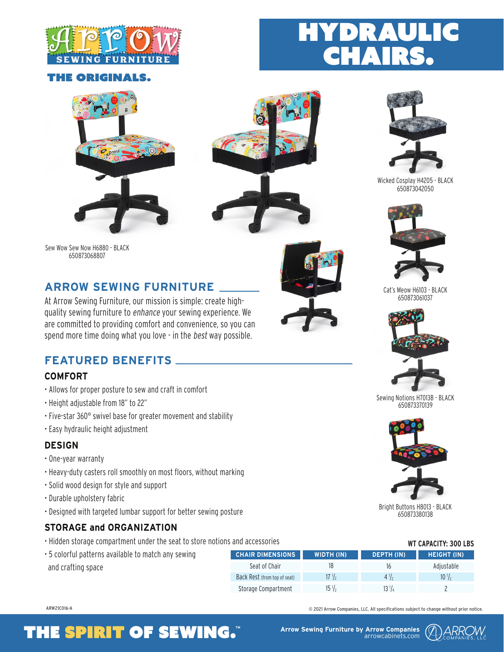

## **HE ORIGINALS.**







DRAUL



Wicked Cosplay H4205 - BLACK 650873042050



Cat's Meow H6103 - BLACK 650873061037



Sewing Notions H7013B - BLACK 650873370139



Bright Buttons H8013 - BLACK 650873380138

## **WT CAPACITY: 300 LBS**

| erns available to match any sewing | <b>CHAIR DIMENSIONS</b>      | <b>WIDTH (IN)</b> | DEPTH (IN) | <b>HEIGHT (IN)</b> |
|------------------------------------|------------------------------|-------------------|------------|--------------------|
| pace                               | Seat of Chair                |                   | 16         | Adiustable         |
|                                    | Back Rest (from top of seat) | $17 \frac{1}{2}$  | 4 7.       | $10\frac{1}{2}$    |
|                                    | Storage Compartment          | $15\frac{1}{2}$   |            |                    |

ARW21C016-A © 2021 Arrow Companies, LLC. All specifications subject to change without prior notice.

#### Sew Wow Sew Now H6880 - BLACK 650873068807

## **ARROW SEWING FURNITURE**

At Arrow Sewing Furniture, our mission is simple: create highquality sewing furniture to enhance your sewing experience. We are committed to providing comfort and convenience, so you can spend more time doing what you love - in the best way possible.

## **FEATURED BENEFITS**

## **COMFORT**

- Allows for proper posture to sew and craft in comfort
- Height adjustable from 18" to 22"
- Five-star 360° swivel base for greater movement and stability
- Easy hydraulic height adjustment

## **DESIGN**

- One-year warranty
- Heavy-duty casters roll smoothly on most floors, without marking
- Solid wood design for style and support
- Durable upholstery fabric
- Designed with targeted lumbar support for better sewing posture

## **STORAGE and ORGANIZATION**

- Hidden storage compartment under the seat to store notions and accessories
- $\cdot$  5 colorful patte and crafting sp

## **THE SPIRIT OF SEWING.** Arrow Sewing Furniture by Arrow Companies